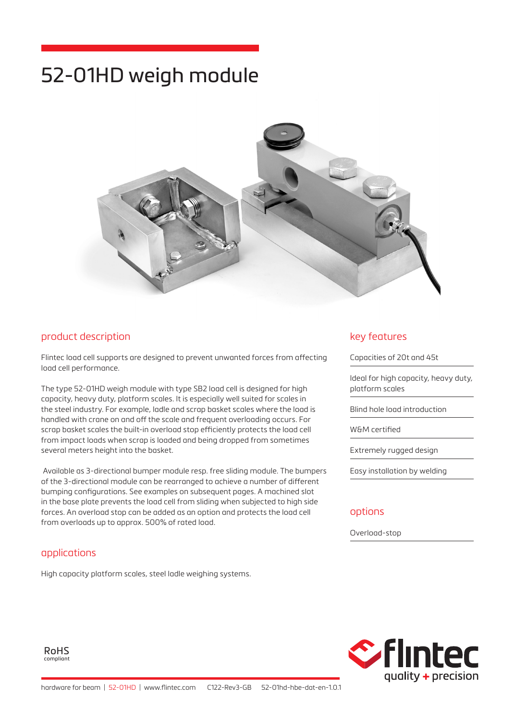# 52-01HD weigh module



### product description

Flintec load cell supports are designed to prevent unwanted forces from affecting load cell performance.

The type 52-01HD weigh module with type SB2 load cell is designed for high capacity, heavy duty, platform scales. It is especially well suited for scales in the steel industry. For example, ladle and scrap basket scales where the load is handled with crane on and off the scale and frequent overloading occurs. For scrap basket scales the built-in overload stop efficiently protects the load cell from impact loads when scrap is loaded and being dropped from sometimes several meters height into the basket.

 Available as 3-directional bumper module resp. free sliding module. The bumpers of the 3-directional module can be rearranged to achieve a number of different bumping configurations. See examples on subsequent pages. A machined slot in the base plate prevents the load cell from sliding when subjected to high side forces. An overload stop can be added as an option and protects the load cell from overloads up to approx. 500% of rated load.

#### applications

High capacity platform scales, steel ladle weighing systems.

#### key features

Capacities of 20t and 45t

Ideal for high capacity, heavy duty, platform scales

Blind hole load introduction

W&M certified

Extremely rugged design

Easy installation by welding

#### options

Overload-stop

RoHS compliant